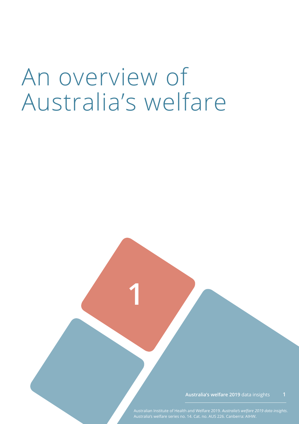# An overview of Australia's welfare

**1**

**Australia's welfare 2019** data insights **1**

Australian Institute of Health and Welfare 2019. *Australia's welfare 2019 data insights*.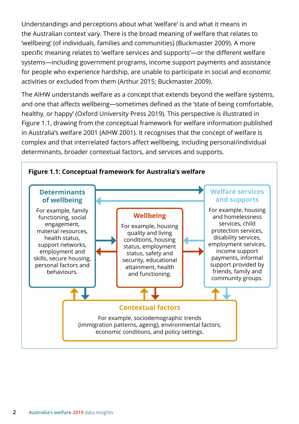Understandings and perceptions about what 'welfare' is and what it means in the Australian context vary. There is the broad meaning of welfare that relates to 'wellbeing' (of individuals, families and communities) (Buckmaster 2009). A more specific meaning relates to 'welfare services and supports'—or the different welfare systems—including government programs, income support payments and assistance for people who experience hardship, are unable to participate in social and economic activities or excluded from them (Arthur 2015; Buckmaster 2009).

The AIHW understands welfare as a concept that extends beyond the welfare systems, and one that affects wellbeing—sometimes defined as the 'state of being comfortable, healthy, or happy' (Oxford University Press 2019). This perspective is illustrated in Figure 1.1, drawing from the conceptual framework for welfare information published in Australia's welfare 2001 (AIHW 2001). It recognises that the concept of welfare is complex and that interrelated factors affect wellbeing, including personal/individual determinants, broader contextual factors, and services and supports.

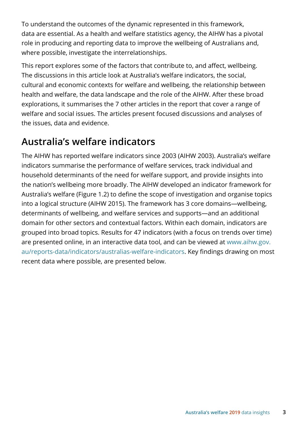To understand the outcomes of the dynamic represented in this framework, data are essential. As a health and welfare statistics agency, the AIHW has a pivotal role in producing and reporting data to improve the wellbeing of Australians and, where possible, investigate the interrelationships.

This report explores some of the factors that contribute to, and affect, wellbeing. The discussions in this article look at Australia's welfare indicators, the social, cultural and economic contexts for welfare and wellbeing, the relationship between health and welfare, the data landscape and the role of the AIHW. After these broad explorations, it summarises the 7 other articles in the report that cover a range of welfare and social issues. The articles present focused discussions and analyses of the issues, data and evidence.

### **Australia's welfare indicators**

The AIHW has reported welfare indicators since 2003 (AIHW 2003). Australia's welfare indicators summarise the performance of welfare services, track individual and household determinants of the need for welfare support, and provide insights into the nation's wellbeing more broadly. The AIHW developed an indicator framework for Australia's welfare (Figure 1.2) to define the scope of investigation and organise topics into a logical structure (AIHW 2015). The framework has 3 core domains—wellbeing, determinants of wellbeing, and welfare services and supports—and an additional domain for other sectors and contextual factors. Within each domain, indicators are grouped into broad topics. Results for 47 indicators (with a focus on trends over time) are presented online, in an interactive data tool, and can be viewed at [www.aihw.gov.](https://www.aihw.gov.au/reports-data/indicators/australias-welfare-indicators) [au/reports-data/indicators/australias-welfare-indicators](https://www.aihw.gov.au/reports-data/indicators/australias-welfare-indicators). Key findings drawing on most recent data where possible, are presented below.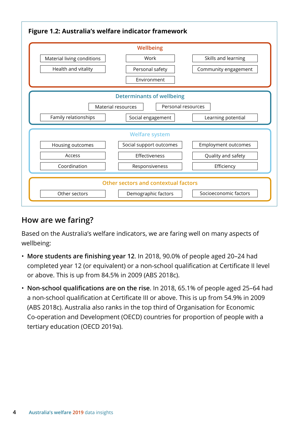

### **How are we faring?**

Based on the Australia's welfare indicators, we are faring well on many aspects of wellbeing:

- **More students are finishing year 12**. In 2018, 90.0% of people aged 20–24 had completed year 12 (or equivalent) or a non-school qualification at Certificate II level or above. This is up from 84.5% in 2009 (ABS 2018c).
- **Non-school qualifications are on the rise**. In 2018, 65.1% of people aged 25–64 had a non-school qualification at Certificate III or above. This is up from 54.9% in 2009 (ABS 2018c). Australia also ranks in the top third of Organisation for Economic Co-operation and Development (OECD) countries for proportion of people with a tertiary education (OECD 2019a).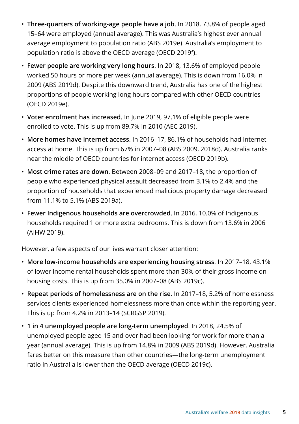- **Three-quarters of working-age people have a job**. In 2018, 73.8% of people aged 15–64 were employed (annual average). This was Australia's highest ever annual average employment to population ratio (ABS 2019e). Australia's employment to population ratio is above the OECD average (OECD 2019f).
- **Fewer people are working very long hours**. In 2018, 13.6% of employed people worked 50 hours or more per week (annual average). This is down from 16.0% in 2009 (ABS 2019d). Despite this downward trend, Australia has one of the highest proportions of people working long hours compared with other OECD countries (OECD 2019e).
- **Voter enrolment has increased**. In June 2019, 97.1% of eligible people were enrolled to vote. This is up from 89.7% in 2010 (AEC 2019).
- **More homes have internet access**. In 2016–17, 86.1% of households had internet access at home. This is up from 67% in 2007–08 (ABS 2009, 2018d). Australia ranks near the middle of OECD countries for internet access (OECD 2019b).
- **Most crime rates are down**. Between 2008–09 and 2017–18, the proportion of people who experienced physical assault decreased from 3.1% to 2.4% and the proportion of households that experienced malicious property damage decreased from 11.1% to 5.1% (ABS 2019a).
- **Fewer Indigenous households are overcrowded**. In 2016, 10.0% of Indigenous households required 1 or more extra bedrooms. This is down from 13.6% in 2006 (AIHW 2019).

However, a few aspects of our lives warrant closer attention:

- **More low-income households are experiencing housing stress**. In 2017–18, 43.1% of lower income rental households spent more than 30% of their gross income on housing costs. This is up from 35.0% in 2007–08 (ABS 2019c).
- **Repeat periods of homelessness are on the rise**. In 2017–18, 5.2% of homelessness services clients experienced homelessness more than once within the reporting year. This is up from 4.2% in 2013–14 (SCRGSP 2019).
- **1 in 4 unemployed people are long-term unemployed**. In 2018, 24.5% of unemployed people aged 15 and over had been looking for work for more than a year (annual average). This is up from 14.8% in 2009 (ABS 2019d). However, Australia fares better on this measure than other countries—the long-term unemployment ratio in Australia is lower than the OECD average (OECD 2019c).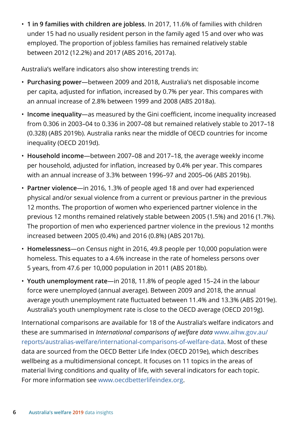• **1 in 9 families with children are jobless**. In 2017, 11.6% of families with children under 15 had no usually resident person in the family aged 15 and over who was employed. The proportion of jobless families has remained relatively stable between 2012 (12.2%) and 2017 (ABS 2016, 2017a).

Australia's welfare indicators also show interesting trends in:

- **Purchasing power**—between 2009 and 2018, Australia's net disposable income per capita, adjusted for inflation, increased by 0.7% per year. This compares with an annual increase of 2.8% between 1999 and 2008 (ABS 2018a).
- **Income inequality**—as measured by the Gini coefficient, income inequality increased from 0.306 in 2003–04 to 0.336 in 2007–08 but remained relatively stable to 2017–18 (0.328) (ABS 2019b). Australia ranks near the middle of OECD countries for income inequality (OECD 2019d).
- **Household income**—between 2007–08 and 2017–18, the average weekly income per household, adjusted for inflation, increased by 0.4% per year. This compares with an annual increase of 3.3% between 1996–97 and 2005–06 (ABS 2019b).
- **Partner violence**—in 2016, 1.3% of people aged 18 and over had experienced physical and/or sexual violence from a current or previous partner in the previous 12 months. The proportion of women who experienced partner violence in the previous 12 months remained relatively stable between 2005 (1.5%) and 2016 (1.7%). The proportion of men who experienced partner violence in the previous 12 months increased between 2005 (0.4%) and 2016 (0.8%) (ABS 2017b).
- **Homelessness**—on Census night in 2016, 49.8 people per 10,000 population were homeless. This equates to a 4.6% increase in the rate of homeless persons over 5 years, from 47.6 per 10,000 population in 2011 (ABS 2018b).
- **Youth unemployment rate**—in 2018, 11.8% of people aged 15–24 in the labour force were unemployed (annual average). Between 2009 and 2018, the annual average youth unemployment rate fluctuated between 11.4% and 13.3% (ABS 2019e). Australia's youth unemployment rate is close to the OECD average (OECD 2019g).

International comparisons are available for 18 of the Australia's welfare indicators and these are summarised in *International comparisons of welfare data* [www.aihw.gov.au/](https://www.aihw.gov.au/reports/australias-welfare/international-comparisons-of-welfare-data) [reports/australias-welfare/international-comparisons-of-welfare-data](https://www.aihw.gov.au/reports/australias-welfare/international-comparisons-of-welfare-data). Most of these data are sourced from the OECD Better Life Index (OECD 2019e), which describes wellbeing as a multidimensional concept. It focuses on 11 topics in the areas of material living conditions and quality of life, with several indicators for each topic. For more information see www.oecdbetterlifeindex.org.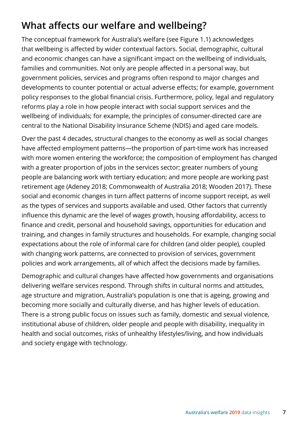### **What affects our welfare and wellbeing?**

The conceptual framework for Australia's welfare (see Figure 1.1) acknowledges that wellbeing is affected by wider contextual factors. Social, demographic, cultural and economic changes can have a significant impact on the wellbeing of individuals, families and communities. Not only are people affected in a personal way, but government policies, services and programs often respond to major changes and developments to counter potential or actual adverse effects; for example, government policy responses to the global financial crisis. Furthermore, policy, legal and regulatory reforms play a role in how people interact with social support services and the wellbeing of individuals; for example, the principles of consumer-directed care are central to the National Disability Insurance Scheme (NDIS) and aged care models.

Over the past 4 decades, structural changes to the economy as well as social changes have affected employment patterns—the proportion of part-time work has increased with more women entering the workforce; the composition of employment has changed with a greater proportion of jobs in the services sector; greater numbers of young people are balancing work with tertiary education; and more people are working past retirement age (Adeney 2018; Commonwealth of Australia 2018; Wooden 2017). These social and economic changes in turn affect patterns of income support receipt, as well as the types of services and supports available and used. Other factors that currently influence this dynamic are the level of wages growth, housing affordability, access to finance and credit, personal and household savings, opportunities for education and training, and changes in family structures and households. For example, changing social expectations about the role of informal care for children (and older people), coupled with changing work patterns, are connected to provision of services, government policies and work arrangements, all of which affect the decisions made by families.

Demographic and cultural changes have affected how governments and organisations delivering welfare services respond. Through shifts in cultural norms and attitudes, age structure and migration, Australia's population is one that is ageing, growing and becoming more socially and culturally diverse, and has higher levels of education. There is a strong public focus on issues such as family, domestic and sexual violence, institutional abuse of children, older people and people with disability, inequality in health and social outcomes, risks of unhealthy lifestyles/living, and how individuals and society engage with technology.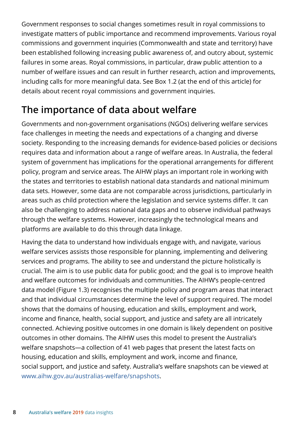Government responses to social changes sometimes result in royal commissions to investigate matters of public importance and recommend improvements. Various royal commissions and government inquiries (Commonwealth and state and territory) have been established following increasing public awareness of, and outcry about, systemic failures in some areas. Royal commissions, in particular, draw public attention to a number of welfare issues and can result in further research, action and improvements, including calls for more meaningful data. See Box 1.2 (at the end of this article) for details about recent royal commissions and government inquiries.

### **The importance of data about welfare**

Governments and non-government organisations (NGOs) delivering welfare services face challenges in meeting the needs and expectations of a changing and diverse society. Responding to the increasing demands for evidence-based policies or decisions requires data and information about a range of welfare areas. In Australia, the federal system of government has implications for the operational arrangements for different policy, program and service areas. The AIHW plays an important role in working with the states and territories to establish national data standards and national minimum data sets. However, some data are not comparable across jurisdictions, particularly in areas such as child protection where the legislation and service systems differ. It can also be challenging to address national data gaps and to observe individual pathways through the welfare systems. However, increasingly the technological means and platforms are available to do this through data linkage.

Having the data to understand how individuals engage with, and navigate, various welfare services assists those responsible for planning, implementing and delivering services and programs. The ability to see and understand the picture holistically is crucial. The aim is to use public data for public good; and the goal is to improve health and welfare outcomes for individuals and communities. The AIHW's people-centred data model (Figure 1.3) recognises the multiple policy and program areas that interact and that individual circumstances determine the level of support required. The model shows that the domains of housing, education and skills, employment and work, income and finance, health, social support, and justice and safety are all intricately connected. Achieving positive outcomes in one domain is likely dependent on positive outcomes in other domains. The AIHW uses this model to present the Australia's welfare snapshots—a collection of 41 web pages that present the latest facts on housing, education and skills, employment and work, income and finance, social support, and justice and safety. Australia's welfare snapshots can be viewed at www.aihw.gov.au/australias-welfare/snapshots.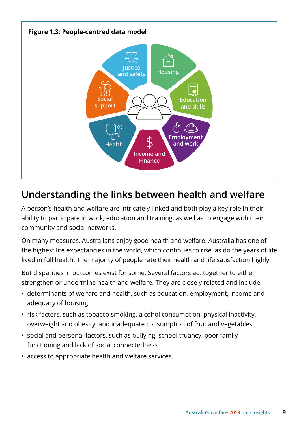

### **Understanding the links between health and welfare**

A person's health and welfare are intricately linked and both play a key role in their ability to participate in work, education and training, as well as to engage with their community and social networks.

On many measures, Australians enjoy good health and welfare. Australia has one of the highest life expectancies in the world, which continues to rise, as do the years of life lived in full health. The majority of people rate their health and life satisfaction highly.

But disparities in outcomes exist for some. Several factors act together to either strengthen or undermine health and welfare. They are closely related and include:

- determinants of welfare and health, such as education, employment, income and adequacy of housing
- risk factors, such as tobacco smoking, alcohol consumption, physical inactivity, overweight and obesity, and inadequate consumption of fruit and vegetables
- social and personal factors, such as bullying, school truancy, poor family functioning and lack of social connectedness
- access to appropriate health and welfare services.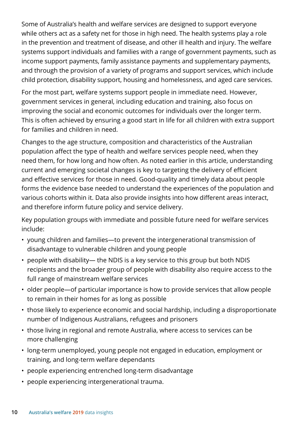Some of Australia's health and welfare services are designed to support everyone while others act as a safety net for those in high need. The health systems play a role in the prevention and treatment of disease, and other ill health and injury. The welfare systems support individuals and families with a range of government payments, such as income support payments, family assistance payments and supplementary payments, and through the provision of a variety of programs and support services, which include child protection, disability support, housing and homelessness, and aged care services.

For the most part, welfare systems support people in immediate need. However, government services in general, including education and training, also focus on improving the social and economic outcomes for individuals over the longer term. This is often achieved by ensuring a good start in life for all children with extra support for families and children in need.

Changes to the age structure, composition and characteristics of the Australian population affect the type of health and welfare services people need, when they need them, for how long and how often. As noted earlier in this article, understanding current and emerging societal changes is key to targeting the delivery of efficient and effective services for those in need. Good-quality and timely data about people forms the evidence base needed to understand the experiences of the population and various cohorts within it. Data also provide insights into how different areas interact, and therefore inform future policy and service delivery.

Key population groups with immediate and possible future need for welfare services include:

- young children and families—to prevent the intergenerational transmission of disadvantage to vulnerable children and young people
- people with disability— the NDIS is a key service to this group but both NDIS recipients and the broader group of people with disability also require access to the full range of mainstream welfare services
- older people—of particular importance is how to provide services that allow people to remain in their homes for as long as possible
- those likely to experience economic and social hardship, including a disproportionate number of Indigenous Australians, refugees and prisoners
- those living in regional and remote Australia, where access to services can be more challenging
- long-term unemployed, young people not engaged in education, employment or training, and long-term welfare dependants
- people experiencing entrenched long-term disadvantage
- people experiencing intergenerational trauma.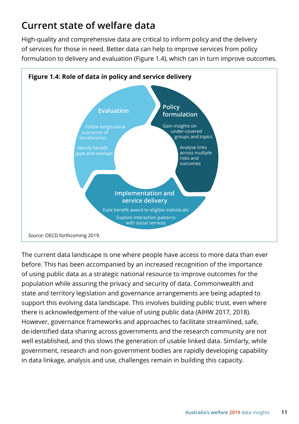### **Current state of welfare data**

High-quality and comprehensive data are critical to inform policy and the delivery of services for those in need. Better data can help to improve services from policy formulation to delivery and evaluation (Figure 1.4), which can in turn improve outcomes.



The current data landscape is one where people have access to more data than ever before. This has been accompanied by an increased recognition of the importance of using public data as a strategic national resource to improve outcomes for the population while assuring the privacy and security of data. Commonwealth and state and territory legislation and governance arrangements are being adapted to support this evolving data landscape. This involves building public trust, even where there is acknowledgement of the value of using public data (AIHW 2017, 2018). However, governance frameworks and approaches to facilitate streamlined, safe, de-identified data sharing across governments and the research community are not well established, and this slows the generation of usable linked data. Similarly, while government, research and non-government bodies are rapidly developing capability in data linkage, analysis and use, challenges remain in building this capacity.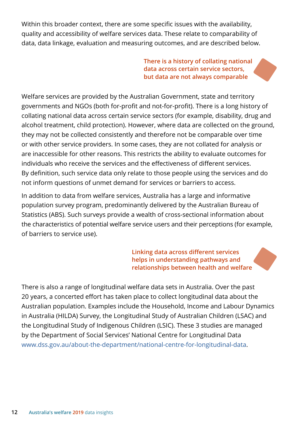Within this broader context, there are some specific issues with the availability, quality and accessibility of welfare services data. These relate to comparability of data, data linkage, evaluation and measuring outcomes, and are described below.

> **There is a history of collating national data across certain service sectors, but data are not always comparable**

Welfare services are provided by the Australian Government, state and territory governments and NGOs (both for-profit and not-for-profit). There is a long history of collating national data across certain service sectors (for example, disability, drug and alcohol treatment, child protection). However, where data are collected on the ground, they may not be collected consistently and therefore not be comparable over time or with other service providers. In some cases, they are not collated for analysis or are inaccessible for other reasons. This restricts the ability to evaluate outcomes for individuals who receive the services and the effectiveness of different services. By definition, such service data only relate to those people using the services and do not inform questions of unmet demand for services or barriers to access.

In addition to data from welfare services, Australia has a large and informative population survey program, predominantly delivered by the Australian Bureau of Statistics (ABS). Such surveys provide a wealth of cross-sectional information about the characteristics of potential welfare service users and their perceptions (for example, of barriers to service use).

> **Linking data across different services helps in understanding pathways and relationships between health and welfare**

There is also a range of longitudinal welfare data sets in Australia. Over the past 20 years, a concerted effort has taken place to collect longitudinal data about the Australian population. Examples include the Household, Income and Labour Dynamics in Australia (HILDA) Survey, the Longitudinal Study of Australian Children (LSAC) and the Longitudinal Study of Indigenous Children (LSIC). These 3 studies are managed by the Department of Social Services' National Centre for Longitudinal Data [www.dss.gov.au/about-the-department/national-centre-for-longitudinal-data](https://www.dss.gov.au/about-the-department/national-centre-for-longitudinal-data).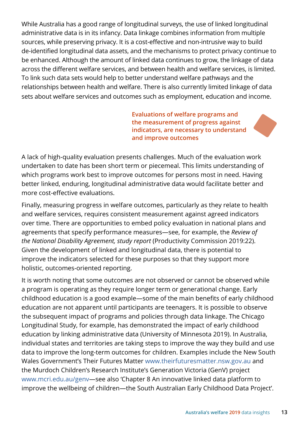While Australia has a good range of longitudinal surveys, the use of linked longitudinal administrative data is in its infancy. Data linkage combines information from multiple sources, while preserving privacy. It is a cost-effective and non-intrusive way to build de-identified longitudinal data assets, and the mechanisms to protect privacy continue to be enhanced. Although the amount of linked data continues to grow, the linkage of data across the different welfare services, and between health and welfare services, is limited. To link such data sets would help to better understand welfare pathways and the relationships between health and welfare. There is also currently limited linkage of data sets about welfare services and outcomes such as employment, education and income.

> **Evaluations of welfare programs and the measurement of progress against indicators, are necessary to understand and improve outcomes**

A lack of high-quality evaluation presents challenges. Much of the evaluation work undertaken to date has been short term or piecemeal. This limits understanding of which programs work best to improve outcomes for persons most in need. Having better linked, enduring, longitudinal administrative data would facilitate better and more cost-effective evaluations.

Finally, measuring progress in welfare outcomes, particularly as they relate to health and welfare services, requires consistent measurement against agreed indicators over time. There are opportunities to embed policy evaluation in national plans and agreements that specify performance measures—see, for example, the *Review of the National Disability Agreement, study report* (Productivity Commission 2019:22). Given the development of linked and longitudinal data, there is potential to improve the indicators selected for these purposes so that they support more holistic, outcomes-oriented reporting.

It is worth noting that some outcomes are not observed or cannot be observed while a program is operating as they require longer term or generational change. Early childhood education is a good example—some of the main benefits of early childhood education are not apparent until participants are teenagers. It is possible to observe the subsequent impact of programs and policies through data linkage. The Chicago Longitudinal Study, for example, has demonstrated the impact of early childhood education by linking administrative data (University of Minnesota 2019). In Australia, individual states and territories are taking steps to improve the way they build and use data to improve the long-term outcomes for children. Examples include the New South Wales Government's Their Futures Matter www.theirfuturesmatter.nsw.gov.au and the Murdoch Children's Research Institute's Generation Victoria (GenV) project [www.mcri.edu.au/genv—](https://www.mcri.edu.au/genv)see also 'Chapter 8 An innovative linked data platform to improve the wellbeing of children—the South Australian Early Childhood Data Project'.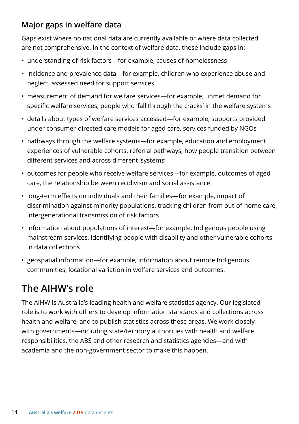### **Major gaps in welfare data**

Gaps exist where no national data are currently available or where data collected are not comprehensive. In the context of welfare data, these include gaps in:

- understanding of risk factors—for example, causes of homelessness
- incidence and prevalence data—for example, children who experience abuse and neglect, assessed need for support services
- measurement of demand for welfare services—for example, unmet demand for specific welfare services, people who 'fall through the cracks' in the welfare systems
- details about types of welfare services accessed—for example, supports provided under consumer-directed care models for aged care, services funded by NGOs
- pathways through the welfare systems—for example, education and employment experiences of vulnerable cohorts, referral pathways, how people transition between different services and across different 'systems'
- outcomes for people who receive welfare services—for example, outcomes of aged care, the relationship between recidivism and social assistance
- long-term effects on individuals and their families—for example, impact of discrimination against minority populations, tracking children from out-of-home care, intergenerational transmission of risk factors
- information about populations of interest—for example, Indigenous people using mainstream services, identifying people with disability and other vulnerable cohorts in data collections
- geospatial information—for example, information about remote Indigenous communities, locational variation in welfare services and outcomes.

## **The AIHW's role**

The AIHW is Australia's leading health and welfare statistics agency. Our legislated role is to work with others to develop information standards and collections across health and welfare, and to publish statistics across these areas. We work closely with governments—including state/territory authorities with health and welfare responsibilities, the ABS and other research and statistics agencies—and with academia and the non-government sector to make this happen.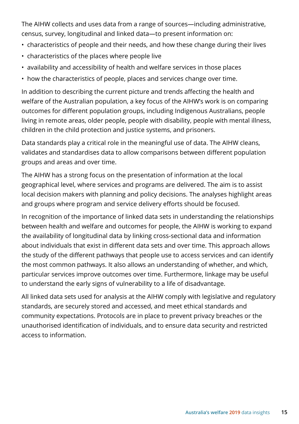The AIHW collects and uses data from a range of sources—including administrative, census, survey, longitudinal and linked data—to present information on:

- characteristics of people and their needs, and how these change during their lives
- characteristics of the places where people live
- availability and accessibility of health and welfare services in those places
- how the characteristics of people, places and services change over time.

In addition to describing the current picture and trends affecting the health and welfare of the Australian population, a key focus of the AIHW's work is on comparing outcomes for different population groups, including Indigenous Australians, people living in remote areas, older people, people with disability, people with mental illness, children in the child protection and justice systems, and prisoners.

Data standards play a critical role in the meaningful use of data. The AIHW cleans, validates and standardises data to allow comparisons between different population groups and areas and over time.

The AIHW has a strong focus on the presentation of information at the local geographical level, where services and programs are delivered. The aim is to assist local decision makers with planning and policy decisions. The analyses highlight areas and groups where program and service delivery efforts should be focused.

In recognition of the importance of linked data sets in understanding the relationships between health and welfare and outcomes for people, the AIHW is working to expand the availability of longitudinal data by linking cross-sectional data and information about individuals that exist in different data sets and over time. This approach allows the study of the different pathways that people use to access services and can identify the most common pathways. It also allows an understanding of whether, and which, particular services improve outcomes over time. Furthermore, linkage may be useful to understand the early signs of vulnerability to a life of disadvantage.

All linked data sets used for analysis at the AIHW comply with legislative and regulatory standards, are securely stored and accessed, and meet ethical standards and community expectations. Protocols are in place to prevent privacy breaches or the unauthorised identification of individuals, and to ensure data security and restricted access to information.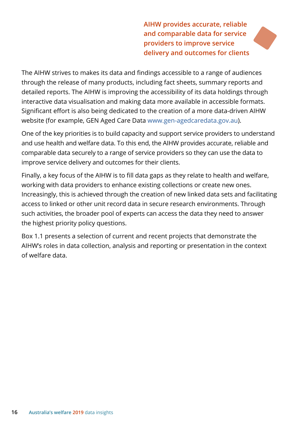**AIHW provides accurate, reliable and comparable data for service providers to improve service delivery and outcomes for clients**

The AIHW strives to makes its data and findings accessible to a range of audiences through the release of many products, including fact sheets, summary reports and detailed reports. The AIHW is improving the accessibility of its data holdings through interactive data visualisation and making data more available in accessible formats. Significant effort is also being dedicated to the creation of a more data-driven AIHW website (for example, GEN Aged Care Data www.gen-agedcaredata.gov.au).

One of the key priorities is to build capacity and support service providers to understand and use health and welfare data. To this end, the AIHW provides accurate, reliable and comparable data securely to a range of service providers so they can use the data to improve service delivery and outcomes for their clients.

Finally, a key focus of the AIHW is to fill data gaps as they relate to health and welfare, working with data providers to enhance existing collections or create new ones. Increasingly, this is achieved through the creation of new linked data sets and facilitating access to linked or other unit record data in secure research environments. Through such activities, the broader pool of experts can access the data they need to answer the highest priority policy questions.

Box 1.1 presents a selection of current and recent projects that demonstrate the AIHW's roles in data collection, analysis and reporting or presentation in the context of welfare data.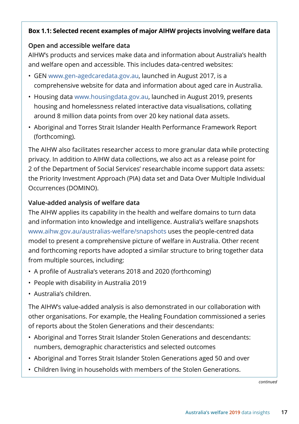#### **Box 1.1: Selected recent examples of major AIHW projects involving welfare data**

#### **Open and accessible welfare data**

AIHW's products and services make data and information about Australia's health and welfare open and accessible. This includes data-centred websites:

- GEN www.gen-agedcaredata.gov.au, launched in August 2017, is a comprehensive website for data and information about aged care in Australia.
- Housing data www.housingdata.gov.au, launched in August 2019, presents housing and homelessness related interactive data visualisations, collating around 8 million data points from over 20 key national data assets.
- Aboriginal and Torres Strait Islander Health Performance Framework Report (forthcoming).

The AIHW also facilitates researcher access to more granular data while protecting privacy. In addition to AIHW data collections, we also act as a release point for 2 of the Department of Social Services' researchable income support data assets: the Priority Investment Approach (PIA) data set and Data Over Multiple Individual Occurrences (DOMINO).

#### **Value-added analysis of welfare data**

The AIHW applies its capability in the health and welfare domains to turn data and information into knowledge and intelligence. Australia's welfare snapshots www.aihw.gov.au/australias-welfare/snapshots uses the people-centred data model to present a comprehensive picture of welfare in Australia. Other recent and forthcoming reports have adopted a similar structure to bring together data from multiple sources, including:

- A profile of Australia's veterans 2018 and 2020 (forthcoming)
- People with disability in Australia 2019
- Australia's children.

The AIHW's value-added analysis is also demonstrated in our collaboration with other organisations. For example, the Healing Foundation commissioned a series of reports about the Stolen Generations and their descendants:

- Aboriginal and Torres Strait Islander Stolen Generations and descendants: numbers, demographic characteristics and selected outcomes
- Aboriginal and Torres Strait Islander Stolen Generations aged 50 and over
- Children living in households with members of the Stolen Generations.

*continued*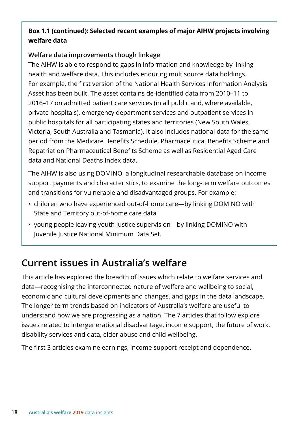#### **Box 1.1 (continued): Selected recent examples of major AIHW projects involving welfare data**

#### **Welfare data improvements though linkage**

The AIHW is able to respond to gaps in information and knowledge by linking health and welfare data. This includes enduring multisource data holdings. For example, the first version of the National Health Services Information Analysis Asset has been built. The asset contains de-identified data from 2010–11 to 2016–17 on admitted patient care services (in all public and, where available, private hospitals), emergency department services and outpatient services in public hospitals for all participating states and territories (New South Wales, Victoria, South Australia and Tasmania). It also includes national data for the same period from the Medicare Benefits Schedule, Pharmaceutical Benefits Scheme and Repatriation Pharmaceutical Benefits Scheme as well as Residential Aged Care data and National Deaths Index data.

The AIHW is also using DOMINO, a longitudinal researchable database on income support payments and characteristics, to examine the long-term welfare outcomes and transitions for vulnerable and disadvantaged groups. For example:

- children who have experienced out-of-home care—by linking DOMINO with State and Territory out-of-home care data
- young people leaving youth justice supervision—by linking DOMINO with Juvenile Justice National Minimum Data Set.

### **Current issues in Australia's welfare**

This article has explored the breadth of issues which relate to welfare services and data—recognising the interconnected nature of welfare and wellbeing to social, economic and cultural developments and changes, and gaps in the data landscape. The longer term trends based on indicators of Australia's welfare are useful to understand how we are progressing as a nation. The 7 articles that follow explore issues related to intergenerational disadvantage, income support, the future of work, disability services and data, elder abuse and child wellbeing.

The first 3 articles examine earnings, income support receipt and dependence.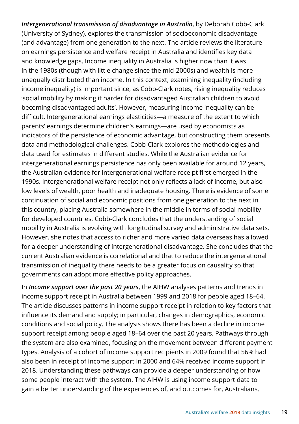*Intergenerational transmission of disadvantage in Australia*, by Deborah Cobb-Clark (University of Sydney), explores the transmission of socioeconomic disadvantage (and advantage) from one generation to the next. The article reviews the literature on earnings persistence and welfare receipt in Australia and identifies key data and knowledge gaps. Income inequality in Australia is higher now than it was in the 1980s (though with little change since the mid-2000s) and wealth is more unequally distributed than income. In this context, examining inequality (including income inequality) is important since, as Cobb-Clark notes, rising inequality reduces 'social mobility by making it harder for disadvantaged Australian children to avoid becoming disadvantaged adults'. However, measuring income inequality can be difficult. Intergenerational earnings elasticities—a measure of the extent to which parents' earnings determine children's earnings—are used by economists as indicators of the persistence of economic advantage, but constructing them presents data and methodological challenges. Cobb-Clark explores the methodologies and data used for estimates in different studies. While the Australian evidence for intergenerational earnings persistence has only been available for around 12 years, the Australian evidence for intergenerational welfare receipt first emerged in the 1990s. Intergenerational welfare receipt not only reflects a lack of income, but also low levels of wealth, poor health and inadequate housing. There is evidence of some continuation of social and economic positions from one generation to the next in this country, placing Australia somewhere in the middle in terms of social mobility for developed countries. Cobb-Clark concludes that the understanding of social mobility in Australia is evolving with longitudinal survey and administrative data sets. However, she notes that access to richer and more varied data overseas has allowed for a deeper understanding of intergenerational disadvantage. She concludes that the current Australian evidence is correlational and that to reduce the intergenerational transmission of inequality there needs to be a greater focus on causality so that governments can adopt more effective policy approaches.

In *Income support over the past 20 years*, the AIHW analyses patterns and trends in income support receipt in Australia between 1999 and 2018 for people aged 18–64. The article discusses patterns in income support receipt in relation to key factors that influence its demand and supply; in particular, changes in demographics, economic conditions and social policy. The analysis shows there has been a decline in income support receipt among people aged 18–64 over the past 20 years. Pathways through the system are also examined, focusing on the movement between different payment types. Analysis of a cohort of income support recipients in 2009 found that 56% had also been in receipt of income support in 2000 and 64% received income support in 2018. Understanding these pathways can provide a deeper understanding of how some people interact with the system. The AIHW is using income support data to gain a better understanding of the experiences of, and outcomes for, Australians.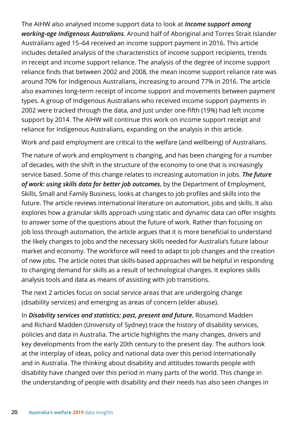The AIHW also analysed income support data to look at *Income support among working-age Indigenous Australians*. Around half of Aboriginal and Torres Strait Islander Australians aged 15–64 received an income support payment in 2016. This article includes detailed analysis of the characteristics of income support recipients, trends in receipt and income support reliance. The analysis of the degree of income support reliance finds that between 2002 and 2008, the mean income support reliance rate was around 70% for Indigenous Australians, increasing to around 77% in 2016. The article also examines long-term receipt of income support and movements between payment types. A group of Indigenous Australians who received income support payments in 2002 were tracked through the data, and just under one-fifth (19%) had left income support by 2014. The AIHW will continue this work on income support receipt and reliance for Indigenous Australians, expanding on the analysis in this article.

Work and paid employment are critical to the welfare (and wellbeing) of Australians.

The nature of work and employment is changing, and has been changing for a number of decades, with the shift in the structure of the economy to one that is increasingly service based. Some of this change relates to increasing automation in jobs. *The future of work: using skills data for better job outcomes*, by the Department of Employment, Skills, Small and Family Business, looks at changes to job profiles and skills into the future. The article reviews international literature on automation, jobs and skills. It also explores how a granular skills approach using static and dynamic data can offer insights to answer some of the questions about the future of work. Rather than focusing on job loss through automation, the article argues that it is more beneficial to understand the likely changes to jobs and the necessary skills needed for Australia's future labour market and economy. The workforce will need to adapt to job changes and the creation of new jobs. The article notes that skills-based approaches will be helpful in responding to changing demand for skills as a result of technological changes. It explores skills analysis tools and data as means of assisting with job transitions.

The next 2 articles focus on social service areas that are undergoing change (disability services) and emerging as areas of concern (elder abuse).

In *Disability services and statistics: past, present and future*, Rosamond Madden and Richard Madden (University of Sydney) trace the history of disability services, policies and data in Australia. The article highlights the many changes, drivers and key developments from the early 20th century to the present day. The authors look at the interplay of ideas, policy and national data over this period internationally and in Australia. The thinking about disability and attitudes towards people with disability have changed over this period in many parts of the world. This change in the understanding of people with disability and their needs has also seen changes in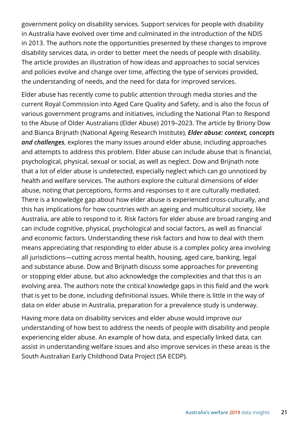government policy on disability services. Support services for people with disability in Australia have evolved over time and culminated in the introduction of the NDIS in 2013. The authors note the opportunities presented by these changes to improve disability services data, in order to better meet the needs of people with disability. The article provides an illustration of how ideas and approaches to social services and policies evolve and change over time, affecting the type of services provided, the understanding of needs, and the need for data for improved services.

Elder abuse has recently come to public attention through media stories and the current Royal Commission into Aged Care Quality and Safety, and is also the focus of various government programs and initiatives, including the National Plan to Respond to the Abuse of Older Australians (Elder Abuse) 2019–2023. The article by Briony Dow and Bianca Brijnath (National Ageing Research Institute), *Elder abuse: context, concepts and challenges*, explores the many issues around elder abuse, including approaches and attempts to address this problem. Elder abuse can include abuse that is financial, psychological, physical, sexual or social, as well as neglect. Dow and Brijnath note that a lot of elder abuse is undetected, especially neglect which can go unnoticed by health and welfare services. The authors explore the cultural dimensions of elder abuse, noting that perceptions, forms and responses to it are culturally mediated. There is a knowledge gap about how elder abuse is experienced cross-culturally, and this has implications for how countries with an ageing and multicultural society, like Australia, are able to respond to it. Risk factors for elder abuse are broad ranging and can include cognitive, physical, psychological and social factors, as well as financial and economic factors. Understanding these risk factors and how to deal with them means appreciating that responding to elder abuse is a complex policy area involving all jurisdictions—cutting across mental health, housing, aged care, banking, legal and substance abuse. Dow and Brijnath discuss some approaches for preventing or stopping elder abuse, but also acknowledge the complexities and that this is an evolving area. The authors note the critical knowledge gaps in this field and the work that is yet to be done, including definitional issues. While there is little in the way of data on elder abuse in Australia, preparation for a prevalence study is underway.

Having more data on disability services and elder abuse would improve our understanding of how best to address the needs of people with disability and people experiencing elder abuse. An example of how data, and especially linked data, can assist in understanding welfare issues and also improve services in these areas is the South Australian Early Childhood Data Project (SA ECDP).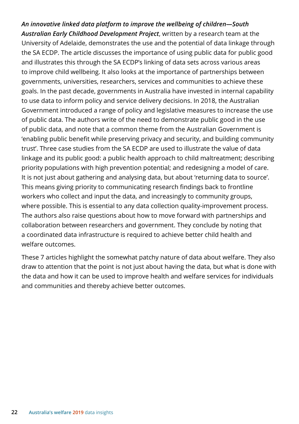*An innovative linked data platform to improve the wellbeing of children—South Australian Early Childhood Development Project*, written by a research team at the University of Adelaide, demonstrates the use and the potential of data linkage through the SA ECDP. The article discusses the importance of using public data for public good and illustrates this through the SA ECDP's linking of data sets across various areas to improve child wellbeing. It also looks at the importance of partnerships between governments, universities, researchers, services and communities to achieve these goals. In the past decade, governments in Australia have invested in internal capability to use data to inform policy and service delivery decisions. In 2018, the Australian Government introduced a range of policy and legislative measures to increase the use of public data. The authors write of the need to demonstrate public good in the use of public data, and note that a common theme from the Australian Government is 'enabling public benefit while preserving privacy and security, and building community trust'. Three case studies from the SA ECDP are used to illustrate the value of data linkage and its public good: a public health approach to child maltreatment; describing priority populations with high prevention potential; and redesigning a model of care. It is not just about gathering and analysing data, but about 'returning data to source'. This means giving priority to communicating research findings back to frontline workers who collect and input the data, and increasingly to community groups, where possible. This is essential to any data collection quality-improvement process. The authors also raise questions about how to move forward with partnerships and collaboration between researchers and government. They conclude by noting that a coordinated data infrastructure is required to achieve better child health and welfare outcomes.

These 7 articles highlight the somewhat patchy nature of data about welfare. They also draw to attention that the point is not just about having the data, but what is done with the data and how it can be used to improve health and welfare services for individuals and communities and thereby achieve better outcomes.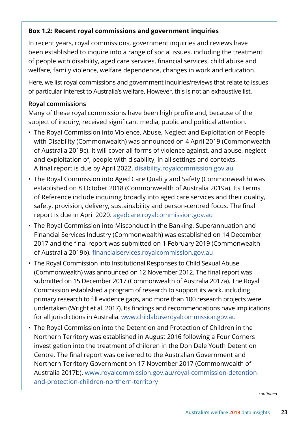#### **Box 1.2: Recent royal commissions and government inquiries**

In recent years, royal commissions, government inquiries and reviews have been established to inquire into a range of social issues, including the treatment of people with disability, aged care services, financial services, child abuse and welfare, family violence, welfare dependence, changes in work and education.

Here, we list royal commissions and government inquiries/reviews that relate to issues of particular interest to Australia's welfare. However, this is not an exhaustive list.

#### **Royal commissions**

Many of these royal commissions have been high profile and, because of the subject of inquiry, received significant media, public and political attention.

- The Royal Commission into Violence, Abuse, Neglect and Exploitation of People with Disability (Commonwealth) was announced on 4 April 2019 (Commonwealth of Australia 2019c). It will cover all forms of violence against, and abuse, neglect and exploitation of, people with disability, in all settings and contexts. A final report is due by April 2022. [disability.royalcommission.gov.au](https://disability.royalcommission.gov.au/Pages/default.aspx)
- The Royal Commission into Aged Care Quality and Safety (Commonwealth) was established on 8 October 2018 (Commonwealth of Australia 2019a). Its Terms of Reference include inquiring broadly into aged care services and their quality, safety, provision, delivery, sustainability and person-centred focus. The final report is due in April 2020. [agedcare.royalcommission.gov.au](https://agedcare.royalcommission.gov.au/Pages/default.aspx)
- The Royal Commission into Misconduct in the Banking, Superannuation and Financial Services Industry (Commonwealth) was established on 14 December 2017 and the final report was submitted on 1 February 2019 (Commonwealth of Australia 2019b). [financialservices.royalcommission.gov.au](https://financialservices.royalcommission.gov.au/Pages/default.aspx)
- The Royal Commission into Institutional Responses to Child Sexual Abuse (Commonwealth) was announced on 12 November 2012. The final report was submitted on 15 December 2017 (Commonwealth of Australia 2017a). The Royal Commission established a program of research to support its work, including primary research to fill evidence gaps, and more than 100 research projects were undertaken (Wright et al. 2017). Its findings and recommendations have implications for all jurisdictions in Australia. www.childabuseroyalcommission.gov.au
- The Royal Commission into the Detention and Protection of Children in the Northern Territory was established in August 2016 following a Four Corners investigation into the treatment of children in the Don Dale Youth Detention Centre. The final report was delivered to the Australian Government and Northern Territory Government on 17 November 2017 (Commonwealth of Australia 2017b). www.royalcommission.gov.au/royal-commission-detentionand-protection-children-northern-territory

*continued*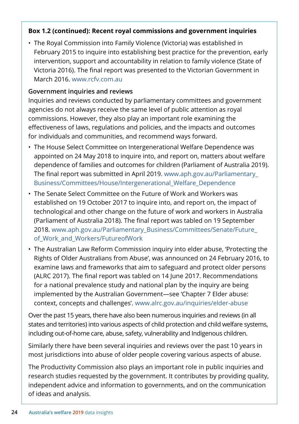#### **Box 1.2 (continued): Recent royal commissions and government inquiries**

• The Royal Commission into Family Violence (Victoria) was established in February 2015 to inquire into establishing best practice for the prevention, early intervention, support and accountability in relation to family violence (State of Victoria 2016). The final report was presented to the Victorian Government in March 2016. www.rcfv.com.au

#### **Government inquiries and reviews**

Inquiries and reviews conducted by parliamentary committees and government agencies do not always receive the same level of public attention as royal commissions. However, they also play an important role examining the effectiveness of laws, regulations and policies, and the impacts and outcomes for individuals and communities, and recommend ways forward.

- The House Select Committee on Intergenerational Welfare Dependence was appointed on 24 May 2018 to inquire into, and report on, matters about welfare dependence of families and outcomes for children (Parliament of Australia 2019). The final report was submitted in April 2019. [www.aph.gov.au/Parliamentary\\_](https://www.aph.gov.au/Parliamentary_Business/Committees/House/Intergenerational_Welfare_Dependence) [Business/Committees/House/Intergenerational\\_Welfare\\_Dependence](https://www.aph.gov.au/Parliamentary_Business/Committees/House/Intergenerational_Welfare_Dependence)
- The Senate Select Committee on the Future of Work and Workers was established on 19 October 2017 to inquire into, and report on, the impact of technological and other change on the future of work and workers in Australia (Parliament of Australia 2018). The final report was tabled on 19 September 2018. [www.aph.gov.au/Parliamentary\\_Business/Committees/Senate/Future\\_](https://www.aph.gov.au/Parliamentary_Business/Committees/Senate/Future_of_Work_and_Workers/FutureofWork) [of\\_Work\\_and\\_Workers/FutureofWork](https://www.aph.gov.au/Parliamentary_Business/Committees/Senate/Future_of_Work_and_Workers/FutureofWork)
- The Australian Law Reform Commission inquiry into elder abuse, 'Protecting the Rights of Older Australians from Abuse', was announced on 24 February 2016, to examine laws and frameworks that aim to safeguard and protect older persons (ALRC 2017). The final report was tabled on 14 June 2017. Recommendations for a national prevalence study and national plan by the inquiry are being implemented by the Australian Government—see 'Chapter 7 Elder abuse: context, concepts and challenges'. www.alrc.gov.au/inquiries/elder-abuse

Over the past 15 years, there have also been numerous inquiries and reviews (in all states and territories) into various aspects of child protection and child welfare systems, including out-of-home care, abuse, safety, vulnerability and Indigenous children.

Similarly there have been several inquiries and reviews over the past 10 years in most jurisdictions into abuse of older people covering various aspects of abuse.

The Productivity Commission also plays an important role in public inquiries and research studies requested by the government. It contributes by providing quality, independent advice and information to governments, and on the communication of ideas and analysis.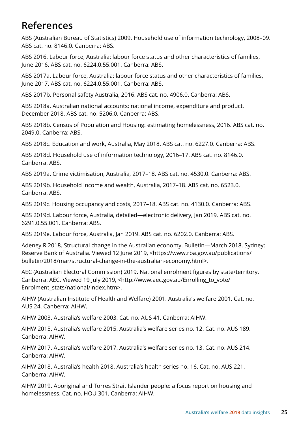### **References**

ABS (Australian Bureau of Statistics) 2009. Household use of information technology, 2008–09. ABS cat. no. 8146.0. Canberra: ABS.

ABS 2016. Labour force, Australia: labour force status and other characteristics of families, June 2016. ABS cat. no. 6224.0.55.001. Canberra: ABS.

ABS 2017a. Labour force, Australia: labour force status and other characteristics of families, June 2017. ABS cat. no. 6224.0.55.001. Canberra: ABS.

ABS 2017b. Personal safety Australia, 2016. ABS cat. no. 4906.0. Canberra: ABS.

ABS 2018a. Australian national accounts: national income, expenditure and product, December 2018. ABS cat. no. 5206.0. Canberra: ABS.

ABS 2018b. Census of Population and Housing: estimating homelessness, 2016. ABS cat. no. 2049.0. Canberra: ABS.

ABS 2018c. Education and work, Australia, May 2018. ABS cat. no. 6227.0. Canberra: ABS.

ABS 2018d. Household use of information technology, 2016–17. ABS cat. no. 8146.0. Canberra: ABS.

ABS 2019a. Crime victimisation, Australia, 2017–18. ABS cat. no. 4530.0. Canberra: ABS.

ABS 2019b. Household income and wealth, Australia, 2017–18. ABS cat. no. 6523.0. Canberra: ABS.

ABS 2019c. Housing occupancy and costs, 2017–18. ABS cat. no. 4130.0. Canberra: ABS.

ABS 2019d. Labour force, Australia, detailed—electronic delivery, Jan 2019. ABS cat. no. 6291.0.55.001. Canberra: ABS.

ABS 2019e. Labour force, Australia, Jan 2019. ABS cat. no. 6202.0. Canberra: ABS.

Adeney R 2018. Structural change in the Australian economy. Bulletin—March 2018. Sydney: Reserve Bank of Australia. Viewed 12 June 2019, <https://www.rba.gov.au/publications/ bulletin/2018/mar/structural-change-in-the-australian-economy.html>.

AEC (Australian Electoral Commission) 2019. National enrolment figures by state/territory. Canberra: AEC. Viewed 19 July 2019, <http://www.aec.gov.au/Enrolling\_to\_vote/ Enrolment\_stats/national/index.htm>.

AIHW (Australian Institute of Health and Welfare) 2001. Australia's welfare 2001. Cat. no. AUS 24. Canberra: AIHW.

AIHW 2003. Australia's welfare 2003. Cat. no. AUS 41. Canberra: AIHW.

AIHW 2015. Australia's welfare 2015. Australia's welfare series no. 12. Cat. no. AUS 189. Canberra: AIHW.

AIHW 2017. Australia's welfare 2017. Australia's welfare series no. 13. Cat. no. AUS 214. Canberra: AIHW.

AIHW 2018. Australia's health 2018. Australia's health series no. 16. Cat. no. AUS 221. Canberra: AIHW.

AIHW 2019. Aboriginal and Torres Strait Islander people: a focus report on housing and homelessness. Cat. no. HOU 301. Canberra: AIHW.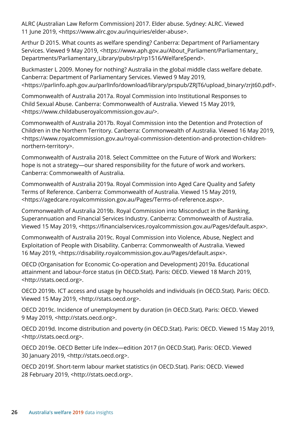ALRC (Australian Law Reform Commission) 2017. Elder abuse. Sydney: ALRC. Viewed 11 June 2019, <https://www.alrc.gov.au/inquiries/elder-abuse>.

Arthur D 2015. What counts as welfare spending? Canberra: Department of Parliamentary Services. Viewed 9 May 2019, <https://www.aph.gov.au/About\_Parliament/Parliamentary\_ Departments/Parliamentary\_Library/pubs/rp/rp1516/WelfareSpend>.

Buckmaster L 2009. Money for nothing? Australia in the global middle class welfare debate. Canberra: Department of Parliamentary Services. Viewed 9 May 2019, <https://parlinfo.aph.gov.au/parlInfo/download/library/prspub/ZRJT6/upload\_binary/zrjt60.pdf>.

Commonwealth of Australia 2017a. Royal Commission into Institutional Responses to Child Sexual Abuse. Canberra: Commonwealth of Australia. Viewed 15 May 2019, <https://www.childabuseroyalcommission.gov.au/>.

Commonwealth of Australia 2017b. Royal Commission into the Detention and Protection of Children in the Northern Territory. Canberra: Commonwealth of Australia. Viewed 16 May 2019, <https://www.royalcommission.gov.au/royal-commission-detention-and-protection-childrennorthern-territory>.

Commonwealth of Australia 2018. Select Committee on the Future of Work and Workers: hope is not a strategy—our shared responsibility for the future of work and workers. Canberra: Commonwealth of Australia.

Commonwealth of Australia 2019a. Royal Commission into Aged Care Quality and Safety Terms of Reference. Canberra: Commonwealth of Australia. Viewed 15 May 2019, <https://agedcare.royalcommission.gov.au/Pages/Terms-of-reference.aspx>.

Commonwealth of Australia 2019b. Royal Commission into Misconduct in the Banking, Superannuation and Financial Services Industry. Canberra: Commonwealth of Australia. Viewed 15 May 2019, <https://financialservices.royalcommission.gov.au/Pages/default.aspx>.

Commonwealth of Australia 2019c. Royal Commission into Violence, Abuse, Neglect and Exploitation of People with Disability. Canberra: Commonwealth of Australia. Viewed 16 May 2019, <https://disability.royalcommission.gov.au/Pages/default.aspx>.

OECD (Organisation for Economic Co-operation and Development) 2019a. Educational attainment and labour-force status (in OECD.Stat). Paris: OECD. Viewed 18 March 2019, <http://stats.oecd.org>.

OECD 2019b. ICT access and usage by households and individuals (in OECD.Stat). Paris: OECD. Viewed 15 May 2019, <http://stats.oecd.org>.

OECD 2019c. Incidence of unemployment by duration (in OECD.Stat). Paris: OECD. Viewed 9 May 2019, <http://stats.oecd.org>.

OECD 2019d. Income distribution and poverty (in OECD.Stat). Paris: OECD. Viewed 15 May 2019, <http://stats.oecd.org>.

OECD 2019e. OECD Better Life Index—edition 2017 (in OECD.Stat). Paris: OECD. Viewed 30 January 2019, <http://stats.oecd.org>.

OECD 2019f. Short-term labour market statistics (in OECD.Stat). Paris: OECD. Viewed 28 February 2019, <http://stats.oecd.org>.